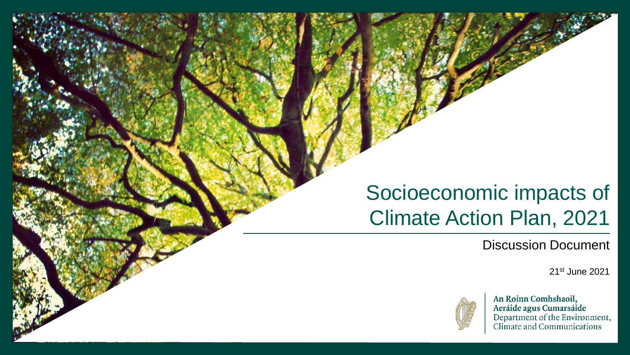# Socioeconomic impacts of Climate Action Plan, 2021

Discussion Document

21st June 2021



An Roinn Comhshaoil, Aeráide agus Cumarsáide<br>Department of the Environment,<br>Climate and Communications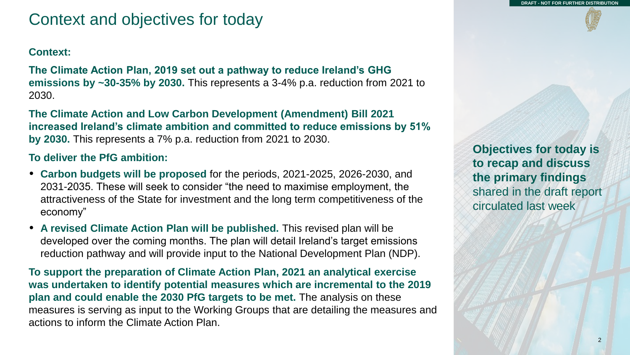## Context and objectives for today

### **Context:**

**The Climate Action Plan, 2019 set out a pathway to reduce Ireland's GHG emissions by ~30-35% by 2030.** This represents a 3-4% p.a. reduction from 2021 to 2030.

**The Climate Action and Low Carbon Development (Amendment) Bill 2021 increased Ireland's climate ambition and committed to reduce emissions by 51% by 2030.** This represents a 7% p.a. reduction from 2021 to 2030.

### **To deliver the PfG ambition:**

- **Carbon budgets will be proposed** for the periods, 2021-2025, 2026-2030, and 2031-2035. These will seek to consider "the need to maximise employment, the attractiveness of the State for investment and the long term competitiveness of the economy"
- **A revised Climate Action Plan will be published.** This revised plan will be developed over the coming months. The plan will detail Ireland's target emissions reduction pathway and will provide input to the National Development Plan (NDP).

**To support the preparation of Climate Action Plan, 2021 an analytical exercise was undertaken to identify potential measures which are incremental to the 2019 plan and could enable the 2030 PfG targets to be met.** The analysis on these measures is serving as input to the Working Groups that are detailing the measures and actions to inform the Climate Action Plan.

**Objectives for today is to recap and discuss the primary findings**  shared in the draft report circulated last week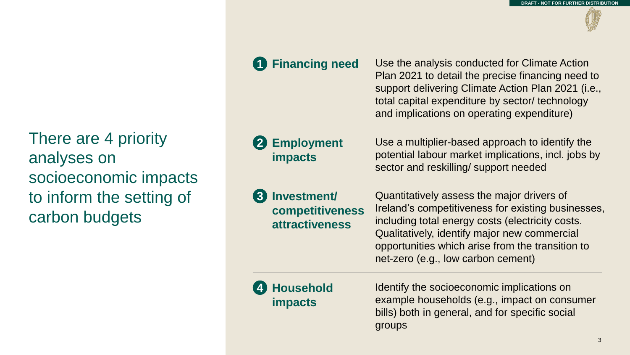There are 4 priority analyses on socioeconomic impacts to inform the setting of carbon budgets

## **Financing need 1**

Use the analysis conducted for Climate Action Plan 2021 to detail the precise financing need to support delivering Climate Action Plan 2021 (i.e., total capital expenditure by sector/ technology and implications on operating expenditure)

### **Employment impacts 2**

Use a multiplier-based approach to identify the potential labour market implications, incl. jobs by sector and reskilling/ support needed

**Investment/ competitiveness attractiveness 3**

Quantitatively assess the major drivers of Ireland's competitiveness for existing businesses, including total energy costs (electricity costs. Qualitatively, identify major new commercial opportunities which arise from the transition to net-zero (e.g., low carbon cement)

### **Household impacts 4**

Identify the socioeconomic implications on example households (e.g., impact on consumer bills) both in general, and for specific social groups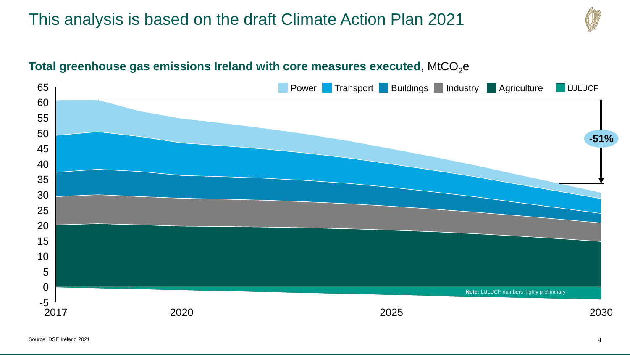## This analysis is based on the draft Climate Action Plan 2021



## Total greenhouse gas emissions Ireland with core measures executed, MtCO<sub>2</sub>e

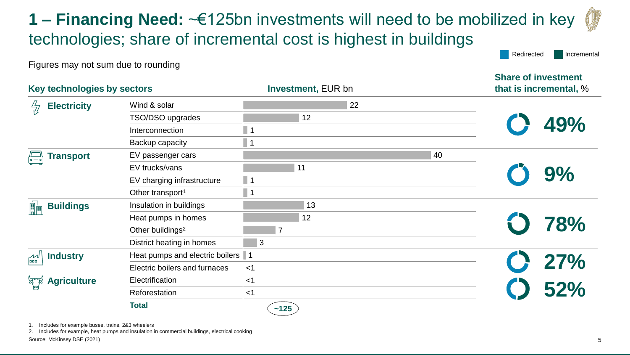**1 – Financing Need:** ~€125bn investments will need to be mobilized in key technologies; share of incremental cost is highest in buildings

Figures may not sum due to rounding

| Key technologies by sectors                  |                                     | <b>Investment, EUR bn</b> | that is incremental, % |  |  |
|----------------------------------------------|-------------------------------------|---------------------------|------------------------|--|--|
| <b>Electricity</b><br>씫                      | Wind & solar                        | 22                        |                        |  |  |
|                                              | TSO/DSO upgrades                    | 12                        | 49%                    |  |  |
|                                              | Interconnection                     |                           |                        |  |  |
|                                              | Backup capacity                     |                           |                        |  |  |
| <b>Transport</b>                             | EV passenger cars                   | 40                        |                        |  |  |
|                                              | EV trucks/vans                      | 11                        |                        |  |  |
|                                              | EV charging infrastructure          |                           | 9%                     |  |  |
|                                              | Other transport <sup>1</sup>        |                           |                        |  |  |
| 圖圖<br><b>Buildings</b>                       | Insulation in buildings             | 13                        |                        |  |  |
|                                              | Heat pumps in homes                 | 12                        |                        |  |  |
|                                              | Other buildings <sup>2</sup>        | $\overline{7}$            | 78%                    |  |  |
|                                              | District heating in homes           | 3                         |                        |  |  |
| $\mathbb{R}^{\mathbb{Z}}$<br><b>Industry</b> | Heat pumps and electric boilers   1 |                           |                        |  |  |
|                                              | Electric boilers and furnaces       | $<$ 1                     |                        |  |  |
| كلمسكم<br><b>Agriculture</b>                 | Electrification                     | $<$ 1                     | 27%<br>52%             |  |  |
|                                              | Reforestation                       | $<$ 1                     |                        |  |  |
|                                              | <b>Total</b>                        | ~125                      |                        |  |  |

1. Includes for example buses, trains, 2&3 wheelers

2. Includes for example, heat pumps and insulation in commercial buildings, electrical cooking

Source: McKinsey DSE (2021)

Redirected Incremental

**Share of investment**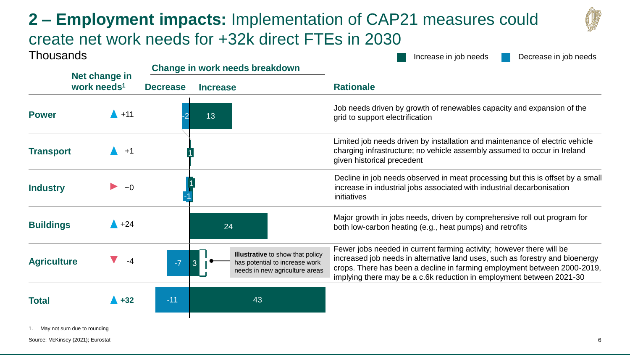# **2 – Employment impacts:** Implementation of CAP21 measures could create net work needs for +32k direct FTEs in 2030

**Change in work needs breakdown**



**Thousands** 

Increase in job needs Decrease in job needs

|                    | Net change in           | <u>Unding in wurk neeus breakuumin</u> |                                                                                                             |                                                                                                                                                                                                                                                                                                          |  |  |
|--------------------|-------------------------|----------------------------------------|-------------------------------------------------------------------------------------------------------------|----------------------------------------------------------------------------------------------------------------------------------------------------------------------------------------------------------------------------------------------------------------------------------------------------------|--|--|
|                    | work needs <sup>1</sup> | <b>Decrease</b>                        | <b>Increase</b>                                                                                             | <b>Rationale</b>                                                                                                                                                                                                                                                                                         |  |  |
| <b>Power</b>       | $+11$                   |                                        | 13                                                                                                          | Job needs driven by growth of renewables capacity and expansion of the<br>grid to support electrification                                                                                                                                                                                                |  |  |
| <b>Transport</b>   | $+1$                    |                                        |                                                                                                             | Limited job needs driven by installation and maintenance of electric vehicle<br>charging infrastructure; no vehicle assembly assumed to occur in Ireland<br>given historical precedent                                                                                                                   |  |  |
| <b>Industry</b>    | $\sim$ $\Omega$         |                                        |                                                                                                             | Decline in job needs observed in meat processing but this is offset by a small<br>increase in industrial jobs associated with industrial decarbonisation<br>initiatives                                                                                                                                  |  |  |
| <b>Buildings</b>   | $+24$                   |                                        | 24                                                                                                          | Major growth in jobs needs, driven by comprehensive roll out program for<br>both low-carbon heating (e.g., heat pumps) and retrofits                                                                                                                                                                     |  |  |
| <b>Agriculture</b> | -4                      | $-7$                                   | <b>Illustrative</b> to show that policy<br>has potential to increase work<br>needs in new agriculture areas | Fewer jobs needed in current farming activity; however there will be<br>increased job needs in alternative land uses, such as forestry and bioenergy<br>crops. There has been a decline in farming employment between 2000-2019,<br>implying there may be a c.6k reduction in employment between 2021-30 |  |  |
| <b>Total</b>       | $+32$                   | $-11$                                  | 43                                                                                                          |                                                                                                                                                                                                                                                                                                          |  |  |

1. May not sum due to rounding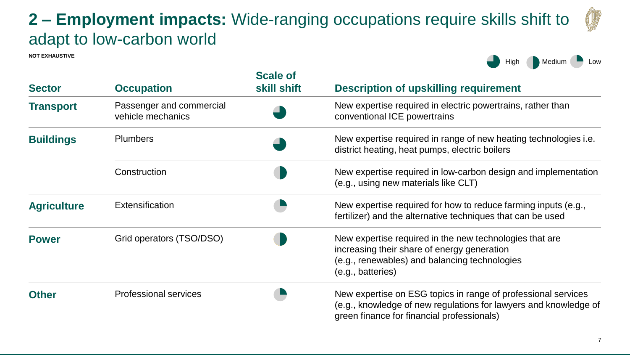## **2 – Employment impacts:** Wide-ranging occupations require skills shift to adapt to low-carbon world

**NOT EXHAUSTIVE**

High Medium Low

| <b>Sector</b>      | <b>Occupation</b>                             | <b>Scale of</b><br>skill shift | <b>Description of upskilling requirement</b>                                                                                                                                    |
|--------------------|-----------------------------------------------|--------------------------------|---------------------------------------------------------------------------------------------------------------------------------------------------------------------------------|
| <b>Transport</b>   | Passenger and commercial<br>vehicle mechanics |                                | New expertise required in electric powertrains, rather than<br>conventional ICE powertrains                                                                                     |
| <b>Buildings</b>   | <b>Plumbers</b>                               |                                | New expertise required in range of new heating technologies <i>i.e.</i><br>district heating, heat pumps, electric boilers                                                       |
|                    | Construction                                  |                                | New expertise required in low-carbon design and implementation<br>(e.g., using new materials like CLT)                                                                          |
| <b>Agriculture</b> | Extensification                               |                                | New expertise required for how to reduce farming inputs (e.g.,<br>fertilizer) and the alternative techniques that can be used                                                   |
| <b>Power</b>       | Grid operators (TSO/DSO)                      |                                | New expertise required in the new technologies that are<br>increasing their share of energy generation<br>(e.g., renewables) and balancing technologies<br>(e.g., batteries)    |
| <b>Other</b>       | <b>Professional services</b>                  |                                | New expertise on ESG topics in range of professional services<br>(e.g., knowledge of new regulations for lawyers and knowledge of<br>green finance for financial professionals) |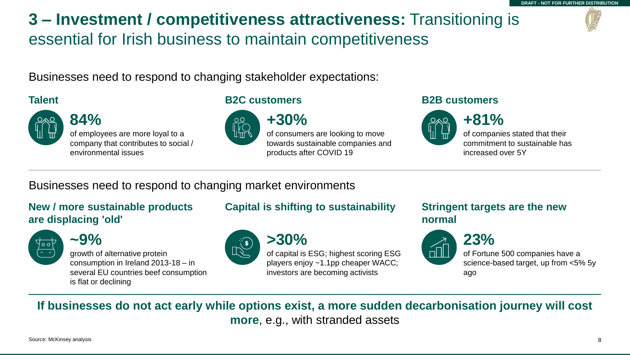# **3 – Investment / competitiveness attractiveness:** Transitioning is essential for Irish business to maintain competitiveness

Businesses need to respond to changing stakeholder expectations:



**84%**  of employees are more loyal to a company that contributes to social / environmental issues

### **Talent B2C customers B2B customers**



**+30%**  of consumers are looking to move towards sustainable companies and products after COVID 19



**+81%** of companies stated that their commitment to sustainable has increased over 5Y

Businesses need to respond to changing market environments

### **New / more sustainable products are displacing 'old'**



**~9%**

growth of alternative protein consumption in Ireland 2013-18 – in several EU countries beef consumption is flat or declining

## **Capital is shifting to sustainability Stringent targets are the new**



**>30%** of capital is ESG; highest scoring ESG players enjoy ~1.1pp cheaper WACC; investors are becoming activists

# **normal**



of Fortune 500 companies have a science-based target, up from <5% 5y ago

**If businesses do not act early while options exist, a more sudden decarbonisation journey will cost more**, e.g., with stranded assets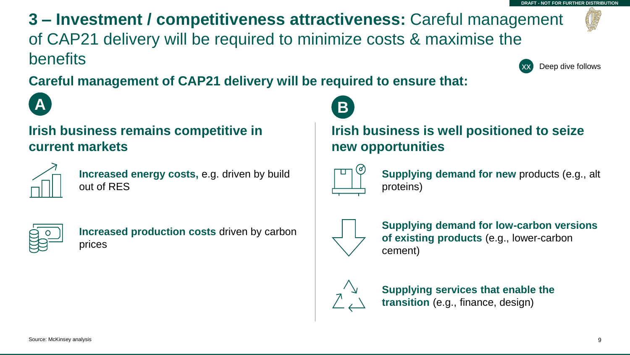**3 – Investment / competitiveness attractiveness:** Careful management of CAP21 delivery will be required to minimize costs & maximise the benefits **DRAFT - NOT FOR FURTHER DISTRIBUTION** Deep dive follows

**Careful management of CAP21 delivery will be required to ensure that:** 





**Increased energy costs,** e.g. driven by build out of RES



**Increased production costs** driven by carbon prices



## **Irish business is well positioned to seize new opportunities**



**Supplying demand for new** products (e.g., alt proteins)



**Supplying demand for low-carbon versions of existing products** (e.g., lower-carbon cement)



**Supplying services that enable the transition** (e.g., finance, design)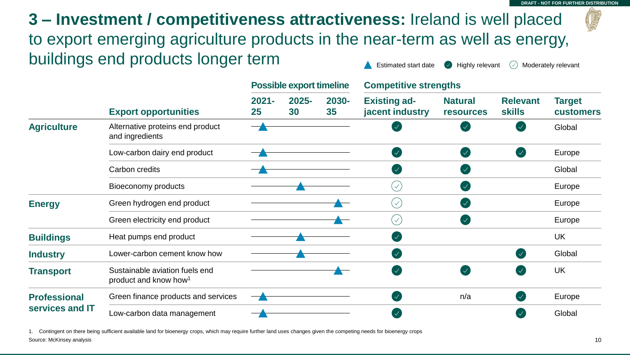**3 – Investment / competitiveness attractiveness:** Ireland is well placed to export emerging agriculture products in the near-term as well as energy, buildings end products longer term

|                                        |                                                                     | <b>Possible export timeline</b> |             |             | <b>Competitive strengths</b>           |                                    |                                  |                                   |
|----------------------------------------|---------------------------------------------------------------------|---------------------------------|-------------|-------------|----------------------------------------|------------------------------------|----------------------------------|-----------------------------------|
|                                        | <b>Export opportunities</b>                                         | $2021 -$<br>25                  | 2025-<br>30 | 2030-<br>35 | <b>Existing ad-</b><br>jacent industry | <b>Natural</b><br><b>resources</b> | <b>Relevant</b><br><b>skills</b> | <b>Target</b><br><b>customers</b> |
| <b>Agriculture</b>                     | Alternative proteins end product<br>and ingredients                 |                                 |             |             |                                        |                                    | $\prec$                          | Global                            |
|                                        | Low-carbon dairy end product                                        |                                 |             |             | $\sqrt{}$                              | $\mathcal{A}$                      | $(\checkmark)$                   | Europe                            |
|                                        | Carbon credits                                                      |                                 |             |             | $\mathcal{A}$                          | $\mathcal{A}$                      |                                  | Global                            |
|                                        | Bioeconomy products                                                 |                                 |             |             | $\overline{\vee}$                      | $\checkmark$                       |                                  | Europe                            |
| <b>Energy</b>                          | Green hydrogen end product                                          |                                 |             |             | $(\vee)$                               | $\mathcal{A}$                      |                                  | Europe                            |
|                                        | Green electricity end product                                       |                                 |             |             | $(\checkmark)$                         | <b>V</b>                           |                                  | Europe                            |
| <b>Buildings</b>                       | Heat pumps end product                                              |                                 |             |             | $\prec$                                |                                    |                                  | <b>UK</b>                         |
| <b>Industry</b>                        | Lower-carbon cement know how                                        |                                 |             |             |                                        |                                    | $\checkmark$                     | Global                            |
| <b>Transport</b>                       | Sustainable aviation fuels end<br>product and know how <sup>1</sup> |                                 |             |             | $\overline{\mathscr{A}}$               | $\checkmark$                       | $\prec$                          | UK                                |
| <b>Professional</b><br>services and IT | Green finance products and services                                 |                                 |             |             |                                        | n/a                                | $\checkmark$                     | Europe                            |
|                                        | Low-carbon data management                                          |                                 |             |             |                                        |                                    |                                  | Global                            |

Source: McKinsey analysis 1. Contingent on there being sufficient available land for bioenergy crops, which may require further land uses changes given the competing needs for bioenergy crops



Estimated start date  $\bigotimes$  Highly relevant  $\bigotimes$  Moderately relevant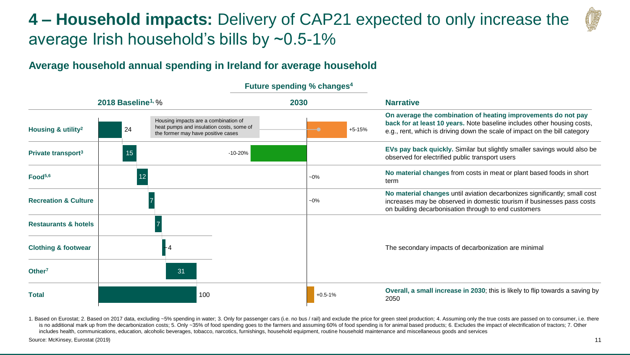## **4 – Household impacts:** Delivery of CAP21 expected to only increase the average Irish household's bills by ~0.5-1%

### **Average household annual spending in Ireland for average household**

|                                 | 2018 Baseline <sup>1, %</sup> |                                                                                                                        | 2030 |             | <b>Narrative</b>                                                                                                                                                                                                       |
|---------------------------------|-------------------------------|------------------------------------------------------------------------------------------------------------------------|------|-------------|------------------------------------------------------------------------------------------------------------------------------------------------------------------------------------------------------------------------|
| Housing & utility <sup>2</sup>  | 24                            | Housing impacts are a combination of<br>heat pumps and insulation costs, some of<br>the former may have positive cases |      | $+5-15%$    | On average the combination of heating improvements do not pay<br>back for at least 10 years. Note baseline includes other housing costs,<br>e.g., rent, which is driving down the scale of impact on the bill category |
| Private transport <sup>3</sup>  | 15                            | $-10 - 20%$                                                                                                            |      |             | EVs pay back quickly. Similar but slightly smaller savings would also be<br>observed for electrified public transport users                                                                                            |
| Food <sup>5,6</sup>             | 12                            |                                                                                                                        |      | $-0\%$      | No material changes from costs in meat or plant based foods in short<br>term                                                                                                                                           |
| <b>Recreation &amp; Culture</b> |                               |                                                                                                                        |      | $-0\%$      | No material changes until aviation decarbonizes significantly; small cost<br>increases may be observed in domestic tourism if businesses pass costs<br>on building decarbonisation through to end customers            |
| <b>Restaurants &amp; hotels</b> |                               |                                                                                                                        |      |             |                                                                                                                                                                                                                        |
| <b>Clothing &amp; footwear</b>  |                               |                                                                                                                        |      |             | The secondary impacts of decarbonization are minimal                                                                                                                                                                   |
| Other <sup>7</sup>              |                               | 31                                                                                                                     |      |             |                                                                                                                                                                                                                        |
| <b>Total</b>                    |                               | 100                                                                                                                    |      | $+0.5 - 1%$ | Overall, a small increase in 2030; this is likely to flip towards a saving by<br>2050                                                                                                                                  |

### **Future spending % changes<sup>4</sup>**

1. Based on Eurostat; 2. Based on 2017 data, excluding ~5% spending in water; 3. Only for passenger cars (i.e. no bus / rail) and exclude the price for green steel production; 4. Assuming only the true costs are passed on is no additional mark up from the decarbonization costs; 5. Only ~35% of food spending goes to the farmers and assuming 60% of food spending is for animal based products; 6. Excludes the impact of electrification of tracto includes health, communications, education, alcoholic beverages, tobacco, narcotics, furnishings, household equipment, routine household maintenance and miscellaneous goods and services

Source: McKinsey, Eurostat (2019)